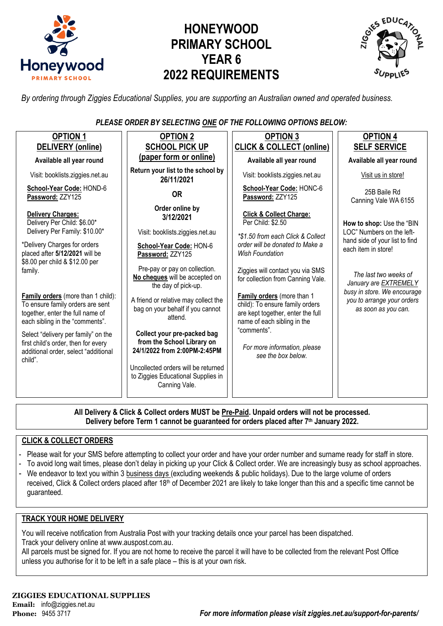

# **HONEYWOOD PRIMARY SCHOOL YEAR 6 2022 REQUIREMENTS**



*By ordering through Ziggies Educational Supplies, you are supporting an Australian owned and operated business.*

*PLEASE ORDER BY SELECTING ONE OF THE FOLLOWING OPTIONS BELOW:*

| <b>OPTION 1</b>                                                                                                                               | <b>OPTION 2</b>                                                                                                                  | <b>OPTION 3</b>                                                                                                                   | <b>OPTION 4</b>                                                                  |  |
|-----------------------------------------------------------------------------------------------------------------------------------------------|----------------------------------------------------------------------------------------------------------------------------------|-----------------------------------------------------------------------------------------------------------------------------------|----------------------------------------------------------------------------------|--|
| <b>DELIVERY</b> (online)                                                                                                                      | <b>SCHOOL PICK UP</b>                                                                                                            | <b>CLICK &amp; COLLECT (online)</b>                                                                                               | <b>SELF SERVICE</b>                                                              |  |
| Available all year round                                                                                                                      | (paper form or online)                                                                                                           | Available all year round                                                                                                          | Available all year round                                                         |  |
| Visit: booklists.ziggies.net.au                                                                                                               | Return your list to the school by<br>26/11/2021                                                                                  | Visit: booklists.ziggies.net.au                                                                                                   | Visit us in store!                                                               |  |
| School-Year Code: HOND-6<br>Password: ZZY125                                                                                                  | <b>OR</b>                                                                                                                        | School-Year Code: HONC-6<br>Password: ZZY125                                                                                      | 25B Baile Rd<br>Canning Vale WA 6155                                             |  |
| Delivery Charges:<br>Delivery Per Child: \$6.00*<br>Delivery Per Family: \$10.00*                                                             | Order online by<br>3/12/2021<br>Visit: booklists.ziggies.net.au                                                                  | <b>Click &amp; Collect Charge:</b><br>Per Child: \$2.50                                                                           | How to shop: Use the "BIN<br>LOC" Numbers on the left-                           |  |
| *Delivery Charges for orders<br>placed after 5/12/2021 will be<br>\$8.00 per child & \$12.00 per                                              | School-Year Code: HON-6<br>Password: ZZY125                                                                                      | *\$1.50 from each Click & Collect<br>order will be donated to Make a<br><b>Wish Foundation</b>                                    | hand side of your list to find<br>each item in store!                            |  |
| family.                                                                                                                                       | Pre-pay or pay on collection.<br>No cheques will be accepted on<br>the day of pick-up.                                           | Ziggies will contact you via SMS<br>for collection from Canning Vale.                                                             | The last two weeks of<br>January are EXTREMELY                                   |  |
| Family orders (more than 1 child):<br>To ensure family orders are sent<br>together, enter the full name of<br>each sibling in the "comments". | A friend or relative may collect the<br>bag on your behalf if you cannot<br>attend.                                              | Family orders (more than 1<br>child): To ensure family orders<br>are kept together, enter the full<br>name of each sibling in the | busy in store. We encourage<br>you to arrange your orders<br>as soon as you can. |  |
| Select "delivery per family" on the<br>first child's order, then for every<br>additional order, select "additional<br>child".                 | Collect your pre-packed bag<br>from the School Library on<br>24/1/2022 from 2:00PM-2:45PM<br>Uncollected orders will be returned | "comments".<br>For more information, please<br>see the box below.                                                                 |                                                                                  |  |
|                                                                                                                                               | to Ziggies Educational Supplies in<br>Canning Vale.                                                                              |                                                                                                                                   |                                                                                  |  |

**All Delivery & Click & Collect orders MUST be Pre-Paid. Unpaid orders will not be processed. Delivery before Term 1 cannot be guaranteed for orders placed after 7th January 2022.**

#### **CLICK & COLLECT ORDERS**

- Please wait for your SMS before attempting to collect your order and have your order number and surname ready for staff in store.
- To avoid long wait times, please don't delay in picking up your Click & Collect order. We are increasingly busy as school approaches.
- We endeavor to text you within 3 business days (excluding weekends & public holidays). Due to the large volume of orders received, Click & Collect orders placed after 18<sup>th</sup> of December 2021 are likely to take longer than this and a specific time cannot be guaranteed.

#### **TRACK YOUR HOME DELIVERY**

You will receive notification from Australia Post with your tracking details once your parcel has been dispatched. Track your delivery online a[t www.auspost.com.au.](http://www.auspost.com.au/)

All parcels must be signed for. If you are not home to receive the parcel it will have to be collected from the relevant Post Office unless you authorise for it to be left in a safe place – this is at your own risk.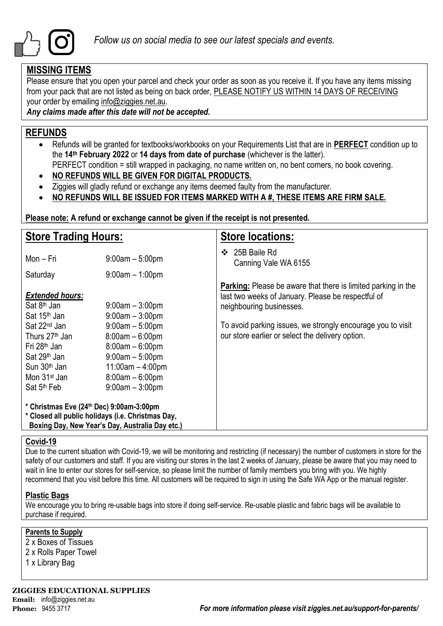

## **MISSING ITEMS**

Please ensure that you open your parcel and check your order as soon as you receive it. If you have any items missing from your pack that are not listed as being on back order, PLEASE NOTIFY US WITHIN 14 DAYS OF RECEIVING your order by emailing info@ziggies.net.au.

*Any claims made after this date will not be accepted.*

## **REFUNDS**

- Refunds will be granted for textbooks/workbooks on your Requirements List that are in **PERFECT** condition up to the **14th February 2022** or **14 days from date of purchase** (whichever is the latter).
	- PERFECT condition = still wrapped in packaging, no name written on, no bent corners, no book covering.
- **NO REFUNDS WILL BE GIVEN FOR DIGITAL PRODUCTS.**
- Ziggies will gladly refund or exchange any items deemed faulty from the manufacturer.
- **NO REFUNDS WILL BE ISSUED FOR ITEMS MARKED WITH A #, THESE ITEMS ARE FIRM SALE.**

**Please note: A refund or exchange cannot be given if the receipt is not presented.**

| <b>Store Trading Hours:</b>                                                                                                                                                                       |                                                                                                                                                  | <b>Store locations:</b>                                                                                                                                |  |  |
|---------------------------------------------------------------------------------------------------------------------------------------------------------------------------------------------------|--------------------------------------------------------------------------------------------------------------------------------------------------|--------------------------------------------------------------------------------------------------------------------------------------------------------|--|--|
| Mon - Fri                                                                                                                                                                                         | $9:00am - 5:00pm$                                                                                                                                | 25B Baile Rd<br>❖<br>Canning Vale WA 6155                                                                                                              |  |  |
| Saturday                                                                                                                                                                                          | $9:00$ am $-1:00$ pm                                                                                                                             |                                                                                                                                                        |  |  |
| <b>Extended hours:</b><br>Sat 8 <sup>th</sup> Jan<br>Sat 15 <sup>th</sup> Jan                                                                                                                     | $9:00$ am $-3:00$ pm<br>$9:00am - 3:00pm$                                                                                                        | <b>Parking:</b> Please be aware that there is limited parking in the<br>last two weeks of January. Please be respectful of<br>neighbouring businesses. |  |  |
| Sat 22 <sup>nd</sup> Jan<br>Thurs 27 <sup>th</sup> Jan<br>Fri 28 <sup>th</sup> Jan<br>Sat 29 <sup>th</sup> Jan<br>Sun 30 <sup>th</sup> Jan<br>Mon 31 <sup>st</sup> Jan<br>Sat 5 <sup>th</sup> Feb | $9:00am - 5:00pm$<br>$8:00am - 6:00pm$<br>$8:00am - 6:00pm$<br>$9:00am - 5:00pm$<br>$11:00am - 4:00pm$<br>$8:00am - 6:00pm$<br>$9:00am - 3:00pm$ | To avoid parking issues, we strongly encourage you to visit<br>our store earlier or select the delivery option.                                        |  |  |
| * Christmas Eve (24th Dec) 9:00am-3:00pm<br>* Closed all public holidays (i.e. Christmas Day,<br>Boxing Day, New Year's Day, Australia Day etc.)                                                  |                                                                                                                                                  |                                                                                                                                                        |  |  |

#### **Covid-19**

Due to the current situation with Covid-19, we will be monitoring and restricting (if necessary) the number of customers in store for the safety of our customers and staff. If you are visiting our stores in the last 2 weeks of January, please be aware that you may need to wait in line to enter our stores for self-service, so please limit the number of family members you bring with you. We highly recommend that you visit before this time. All customers will be required to sign in using the Safe WA App or the manual register.

#### **Plastic Bags**

We encourage you to bring re-usable bags into store if doing self-service. Re-usable plastic and fabric bags will be available to purchase if required.

#### **Parents to Supply**

2 x Boxes of Tissues 2 x Rolls Paper Towel

1 x Library Bag